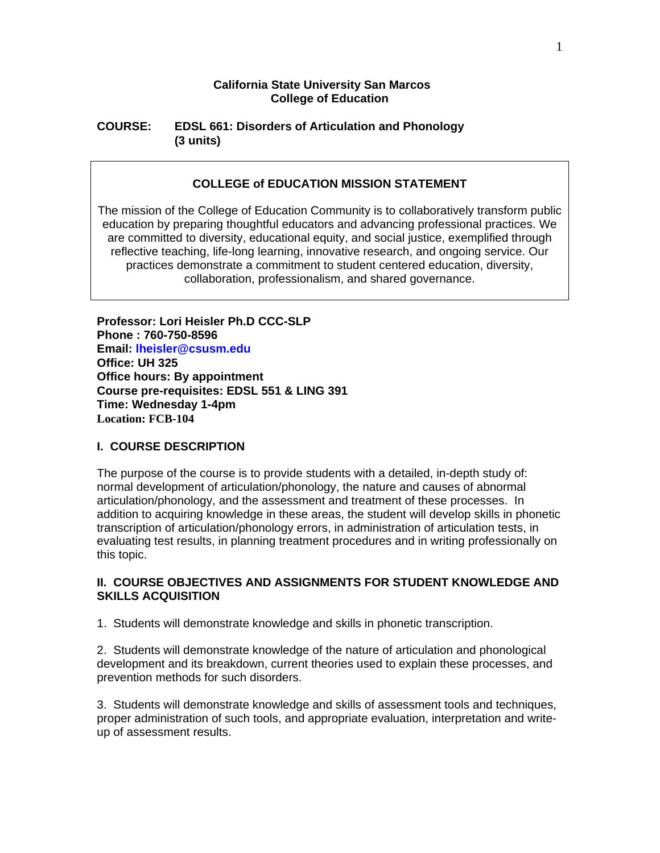### **California State University San Marcos College of Education**

### **COURSE: EDSL 661: Disorders of Articulation and Phonology (3 units)**

### **COLLEGE of EDUCATION MISSION STATEMENT**

The mission of the College of Education Community is to collaboratively transform public education by preparing thoughtful educators and advancing professional practices. We are committed to diversity, educational equity, and social justice, exemplified through reflective teaching, life-long learning, innovative research, and ongoing service. Our practices demonstrate a commitment to student centered education, diversity, collaboration, professionalism, and shared governance.

**Professor: Lori Heisler Ph.D CCC-SLP Phone : 760-750-8596 Email: lheisler@csusm.edu Office: UH 325 Office hours: By appointment Course pre-requisites: EDSL 551 & LING 391 Time: Wednesday 1-4pm Location: FCB-104** 

### **I. COURSE DESCRIPTION**

The purpose of the course is to provide students with a detailed, in-depth study of: normal development of articulation/phonology, the nature and causes of abnormal articulation/phonology, and the assessment and treatment of these processes. In addition to acquiring knowledge in these areas, the student will develop skills in phonetic transcription of articulation/phonology errors, in administration of articulation tests, in evaluating test results, in planning treatment procedures and in writing professionally on this topic.

### **II. COURSE OBJECTIVES AND ASSIGNMENTS FOR STUDENT KNOWLEDGE AND SKILLS ACQUISITION**

1. Students will demonstrate knowledge and skills in phonetic transcription.

2. Students will demonstrate knowledge of the nature of articulation and phonological development and its breakdown, current theories used to explain these processes, and prevention methods for such disorders.

3. Students will demonstrate knowledge and skills of assessment tools and techniques, proper administration of such tools, and appropriate evaluation, interpretation and writeup of assessment results.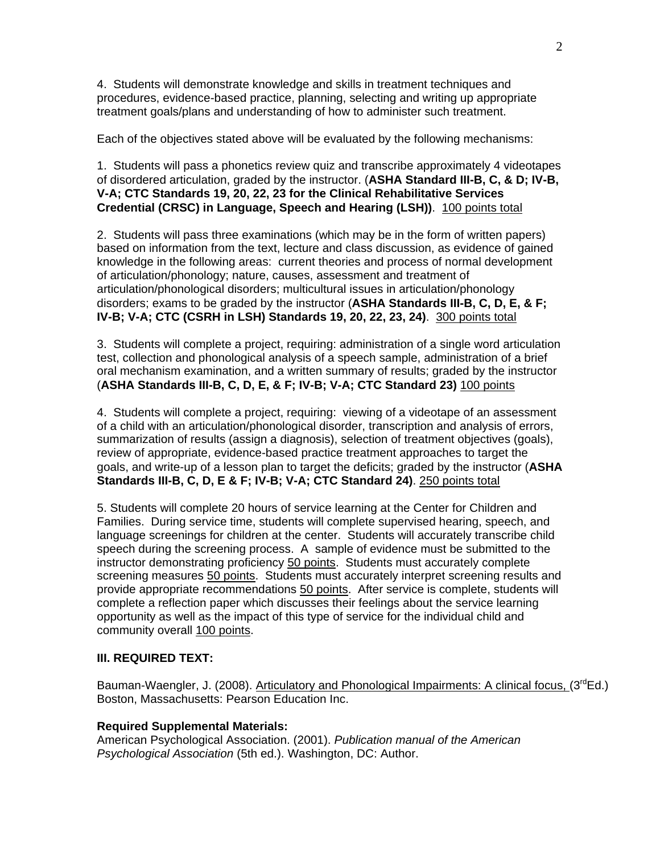4. Students will demonstrate knowledge and skills in treatment techniques and procedures, evidence-based practice, planning, selecting and writing up appropriate treatment goals/plans and understanding of how to administer such treatment.

Each of the objectives stated above will be evaluated by the following mechanisms:

1. Students will pass a phonetics review quiz and transcribe approximately 4 videotapes of disordered articulation, graded by the instructor. (**ASHA Standard III-B, C, & D; IV-B, V-A; CTC Standards 19, 20, 22, 23 for the Clinical Rehabilitative Services Credential (CRSC) in Language, Speech and Hearing (LSH))**. 100 points total

2. Students will pass three examinations (which may be in the form of written papers) based on information from the text, lecture and class discussion, as evidence of gained knowledge in the following areas: current theories and process of normal development of articulation/phonology; nature, causes, assessment and treatment of articulation/phonological disorders; multicultural issues in articulation/phonology disorders; exams to be graded by the instructor (**ASHA Standards III-B, C, D, E, & F; IV-B; V-A; CTC (CSRH in LSH) Standards 19, 20, 22, 23, 24)**. 300 points total

3. Students will complete a project, requiring: administration of a single word articulation test, collection and phonological analysis of a speech sample, administration of a brief oral mechanism examination, and a written summary of results; graded by the instructor (**ASHA Standards III-B, C, D, E, & F; IV-B; V-A; CTC Standard 23)** 100 points

4. Students will complete a project, requiring: viewing of a videotape of an assessment of a child with an articulation/phonological disorder, transcription and analysis of errors, summarization of results (assign a diagnosis), selection of treatment objectives (goals), review of appropriate, evidence-based practice treatment approaches to target the goals, and write-up of a lesson plan to target the deficits; graded by the instructor (**ASHA Standards III-B, C, D, E & F; IV-B; V-A; CTC Standard 24)**. 250 points total

5. Students will complete 20 hours of service learning at the Center for Children and Families. During service time, students will complete supervised hearing, speech, and language screenings for children at the center. Students will accurately transcribe child speech during the screening process. A sample of evidence must be submitted to the instructor demonstrating proficiency 50 points. Students must accurately complete screening measures 50 points. Students must accurately interpret screening results and provide appropriate recommendations 50 points. After service is complete, students will complete a reflection paper which discusses their feelings about the service learning opportunity as well as the impact of this type of service for the individual child and community overall 100 points.

### **III. REQUIRED TEXT:**

Bauman-Waengler, J. (2008). Articulatory and Phonological Impairments: A clinical focus, (3<sup>rd</sup>Ed.) Boston, Massachusetts: Pearson Education Inc.

### **Required Supplemental Materials:**

American Psychological Association. (2001). *Publication manual of the American Psychological Association* (5th ed.). Washington, DC: Author.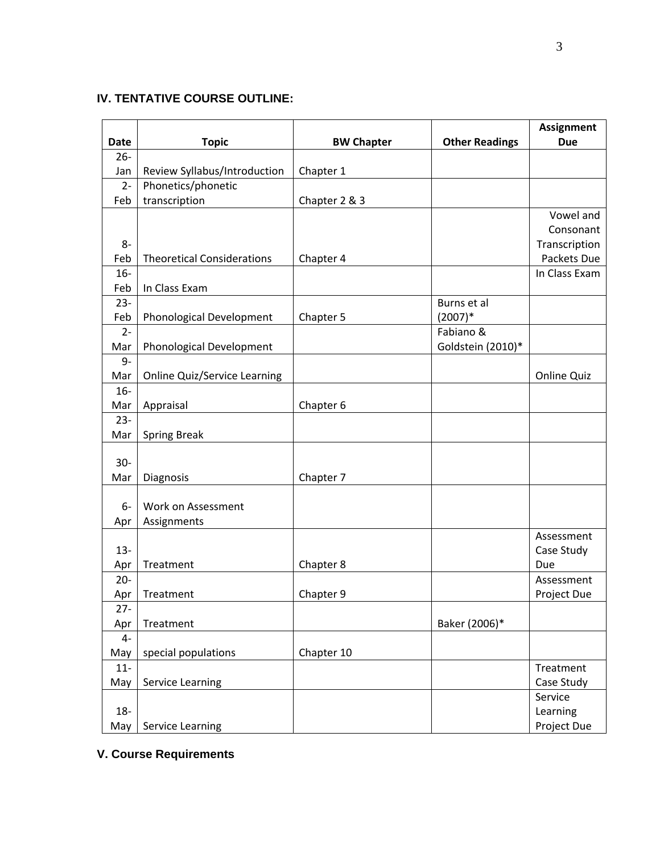# **IV. TENTATIVE COURSE OUTLINE:**

| Date        | <b>Topic</b>                        | <b>BW Chapter</b> | <b>Other Readings</b> | <b>Assignment</b><br><b>Due</b> |
|-------------|-------------------------------------|-------------------|-----------------------|---------------------------------|
| $26 -$      |                                     |                   |                       |                                 |
| Jan         | Review Syllabus/Introduction        | Chapter 1         |                       |                                 |
| $2-$        | Phonetics/phonetic                  |                   |                       |                                 |
| Feb         | transcription                       | Chapter 2 & 3     |                       |                                 |
|             |                                     |                   |                       | Vowel and                       |
|             |                                     |                   |                       | Consonant                       |
| $8-$        |                                     |                   |                       | Transcription                   |
| Feb         | <b>Theoretical Considerations</b>   | Chapter 4         |                       | Packets Due                     |
| $16-$       |                                     |                   |                       | In Class Exam                   |
| Feb         | In Class Exam                       |                   |                       |                                 |
| $23 -$      |                                     |                   | Burns et al           |                                 |
| Feb         | Phonological Development            | Chapter 5         | $(2007)*$             |                                 |
| $2 -$       |                                     |                   | Fabiano &             |                                 |
| Mar         | Phonological Development            |                   | Goldstein (2010)*     |                                 |
| $9-$<br>Mar |                                     |                   |                       | <b>Online Quiz</b>              |
| $16-$       | <b>Online Quiz/Service Learning</b> |                   |                       |                                 |
| Mar         | Appraisal                           | Chapter 6         |                       |                                 |
| $23 -$      |                                     |                   |                       |                                 |
| Mar         | <b>Spring Break</b>                 |                   |                       |                                 |
|             |                                     |                   |                       |                                 |
| $30-$       |                                     |                   |                       |                                 |
| Mar         | Diagnosis                           | Chapter 7         |                       |                                 |
|             |                                     |                   |                       |                                 |
| 6-          | Work on Assessment                  |                   |                       |                                 |
| Apr         | Assignments                         |                   |                       |                                 |
|             |                                     |                   |                       | Assessment                      |
| $13 -$      |                                     |                   |                       | Case Study                      |
| Apr         | Treatment                           | Chapter 8         |                       | Due                             |
| $20 -$      |                                     |                   |                       | Assessment                      |
| Apr         | Treatment                           | Chapter 9         |                       | Project Due                     |
| $27 -$      |                                     |                   |                       |                                 |
| Apr         | Treatment                           |                   | Baker (2006)*         |                                 |
| $4-$        |                                     |                   |                       |                                 |
| May         | special populations                 | Chapter 10        |                       |                                 |
| $11-$       |                                     |                   |                       | Treatment                       |
| May         | Service Learning                    |                   |                       | Case Study                      |
|             |                                     |                   |                       | Service                         |
| $18-$       |                                     |                   |                       | Learning                        |
| May         | Service Learning                    |                   |                       | Project Due                     |

# **V. Course Requirements**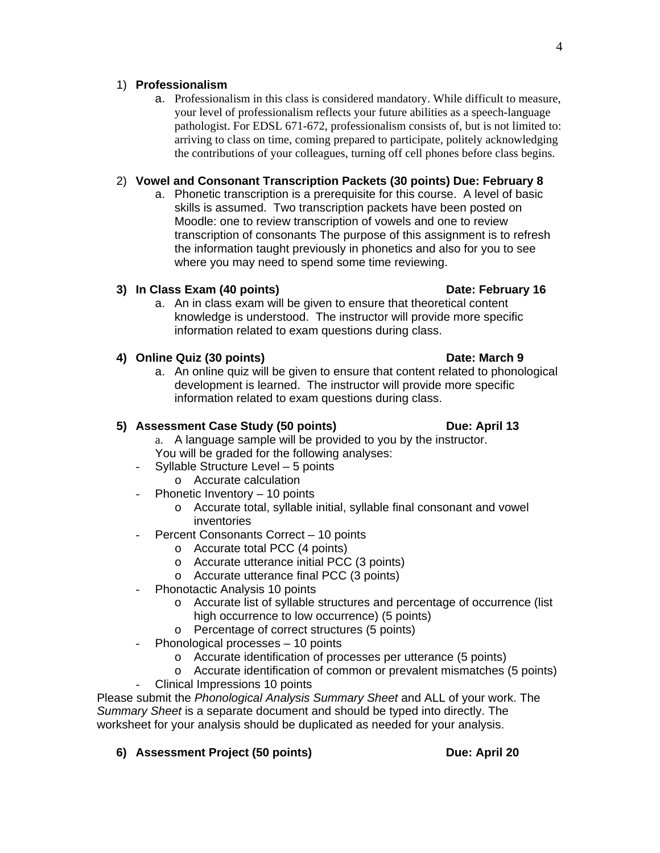### 1) **Professionalism**

a. Professionalism in this class is considered mandatory. While difficult to measure, your level of professionalism reflects your future abilities as a speech-language pathologist. For EDSL 671-672, professionalism consists of, but is not limited to: arriving to class on time, coming prepared to participate, politely acknowledging the contributions of your colleagues, turning off cell phones before class begins.

## 2) **Vowel and Consonant Transcription Packets (30 points) Due: February 8**

a. Phonetic transcription is a prerequisite for this course. A level of basic skills is assumed. Two transcription packets have been posted on Moodle: one to review transcription of vowels and one to review transcription of consonants The purpose of this assignment is to refresh the information taught previously in phonetics and also for you to see where you may need to spend some time reviewing.

## **3) In Class Exam (40 points) Contract Contract Contract Contract Contract Contract Contract Contract Contract Contract Contract Contract Contract Contract Contract Contract Contract Contract Contract Contract Contract Con**

a. An in class exam will be given to ensure that theoretical content knowledge is understood. The instructor will provide more specific information related to exam questions during class.

### **4) Online Quiz (30 points) Date: March 9**

a. An online quiz will be given to ensure that content related to phonological development is learned. The instructor will provide more specific information related to exam questions during class.

## **5) Assessment Case Study (50 points) Due: April 13**

- a. A language sample will be provided to you by the instructor. You will be graded for the following analyses:
- Syllable Structure Level 5 points o Accurate calculation
- Phonetic Inventory 10 points
	- o Accurate total, syllable initial, syllable final consonant and vowel inventories
- Percent Consonants Correct 10 points
	- o Accurate total PCC (4 points)
	- o Accurate utterance initial PCC (3 points)
	- o Accurate utterance final PCC (3 points)
- Phonotactic Analysis 10 points
	- $\circ$  Accurate list of syllable structures and percentage of occurrence (list high occurrence to low occurrence) (5 points)
	- o Percentage of correct structures (5 points)
- Phonological processes 10 points
	- o Accurate identification of processes per utterance (5 points)
	- o Accurate identification of common or prevalent mismatches (5 points)
- Clinical Impressions 10 points

Please submit the *Phonological Analysis Summary Sheet* and ALL of your work. The *Summary Sheet* is a separate document and should be typed into directly. The worksheet for your analysis should be duplicated as needed for your analysis.

## **6) Assessment Project (50 points) Due: April 20**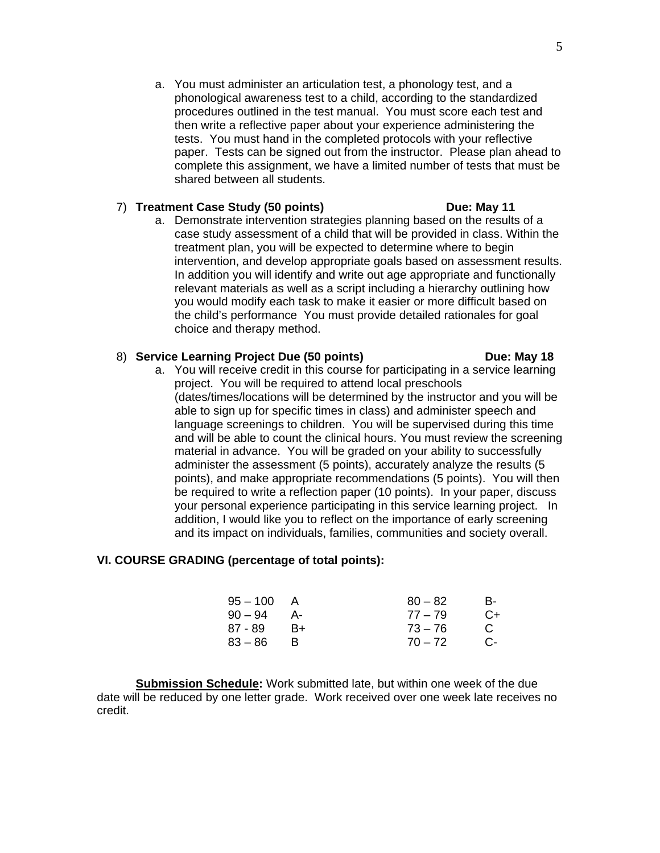a. You must administer an articulation test, a phonology test, and a phonological awareness test to a child, according to the standardized procedures outlined in the test manual. You must score each test and then write a reflective paper about your experience administering the tests. You must hand in the completed protocols with your reflective paper. Tests can be signed out from the instructor. Please plan ahead to complete this assignment, we have a limited number of tests that must be shared between all students.

### 7) **Treatment Case Study (50 points) Due: May 11**

a. Demonstrate intervention strategies planning based on the results of a case study assessment of a child that will be provided in class. Within the treatment plan, you will be expected to determine where to begin intervention, and develop appropriate goals based on assessment results. In addition you will identify and write out age appropriate and functionally relevant materials as well as a script including a hierarchy outlining how you would modify each task to make it easier or more difficult based on the child's performance You must provide detailed rationales for goal choice and therapy method.

### 8) **Service Learning Project Due (50 points) Due: May 18**

a. You will receive credit in this course for participating in a service learning project. You will be required to attend local preschools (dates/times/locations will be determined by the instructor and you will be able to sign up for specific times in class) and administer speech and language screenings to children. You will be supervised during this time and will be able to count the clinical hours. You must review the screening material in advance. You will be graded on your ability to successfully administer the assessment (5 points), accurately analyze the results (5 points), and make appropriate recommendations (5 points). You will then be required to write a reflection paper (10 points). In your paper, discuss your personal experience participating in this service learning project. In addition, I would like you to reflect on the importance of early screening and its impact on individuals, families, communities and society overall.

### **VI. COURSE GRADING (percentage of total points):**

| $95 - 100$ | A    | $80 - 82$ | в-   |
|------------|------|-----------|------|
| $90 - 94$  | - A- | $77 - 79$ | $C+$ |
| 87 - 89    | B+   | $73 - 76$ | C    |
| $83 - 86$  |      | $70 - 72$ | $C-$ |

**Submission Schedule:** Work submitted late, but within one week of the due date will be reduced by one letter grade. Work received over one week late receives no credit.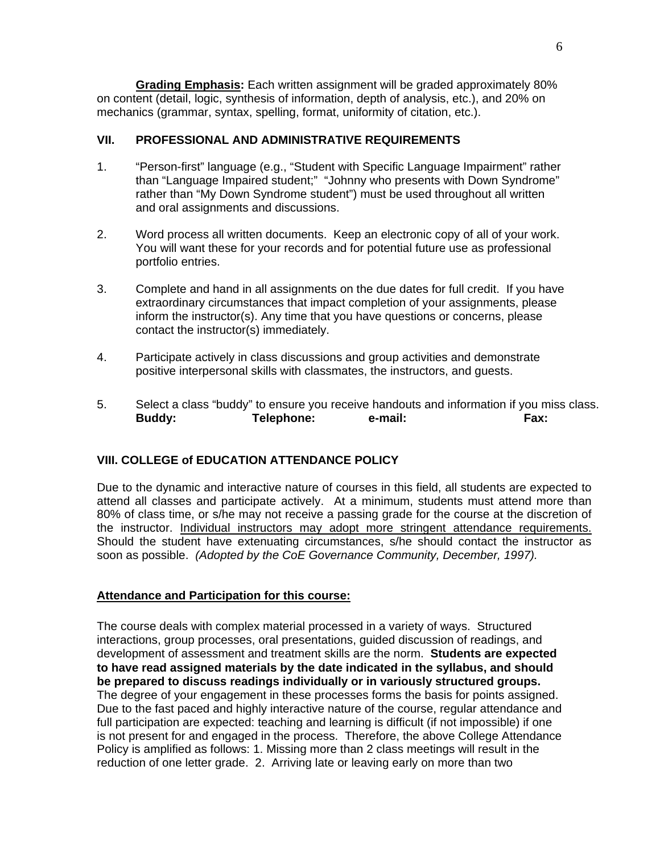mechanics (grammar, syntax, spelling, format, uniformity of citation, etc.).  **Grading Emphasis:** Each written assignment will be graded approximately 80% on content (detail, logic, synthesis of information, depth of analysis, etc.), and 20% on

### **VII. PROFESSIONAL AND ADMINISTRATIVE REQUIREMENTS**

- 1. "Person-first" language (e.g., "Student with Specific Language Impairment" rather than "Language Impaired student;" "Johnny who presents with Down Syndrome" rather than "My Down Syndrome student") must be used throughout all written and oral assignments and discussions.
- 2. Word process all written documents. Keep an electronic copy of all of your work. You will want these for your records and for potential future use as professional portfolio entries.
- 3. Complete and hand in all assignments on the due dates for full credit. If you have extraordinary circumstances that impact completion of your assignments, please inform the instructor(s). Any time that you have questions or concerns, please contact the instructor(s) immediately.
- 4. Participate actively in class discussions and group activities and demonstrate positive interpersonal skills with classmates, the instructors, and guests.
- 5. Select a class "buddy" to ensure you receive handouts and information if you miss class. **Buddy: Telephone: e-mail: Fax:**

## **VIII. COLLEGE of EDUCATION ATTENDANCE POLICY**

the instructor. Individual instructors may adopt more stringent attendance requirements. Due to the dynamic and interactive nature of courses in this field, all students are expected to attend all classes and participate actively. At a minimum, students must attend more than 80% of class time, or s/he may not receive a passing grade for the course at the discretion of Should the student have extenuating circumstances, s/he should contact the instructor as soon as possible. *(Adopted by the CoE Governance Community, December, 1997).* 

### **Attendance and Participation for this course:**

 **be prepared to discuss readings individually or in variously structured groups.** The course deals with complex material processed in a variety of ways. Structured interactions, group processes, oral presentations, guided discussion of readings, and development of assessment and treatment skills are the norm. **Students are expected to have read assigned materials by the date indicated in the syllabus, and should**  The degree of your engagement in these processes forms the basis for points assigned. Due to the fast paced and highly interactive nature of the course, regular attendance and full participation are expected: teaching and learning is difficult (if not impossible) if one is not present for and engaged in the process. Therefore, the above College Attendance Policy is amplified as follows: 1. Missing more than 2 class meetings will result in the reduction of one letter grade. 2. Arriving late or leaving early on more than two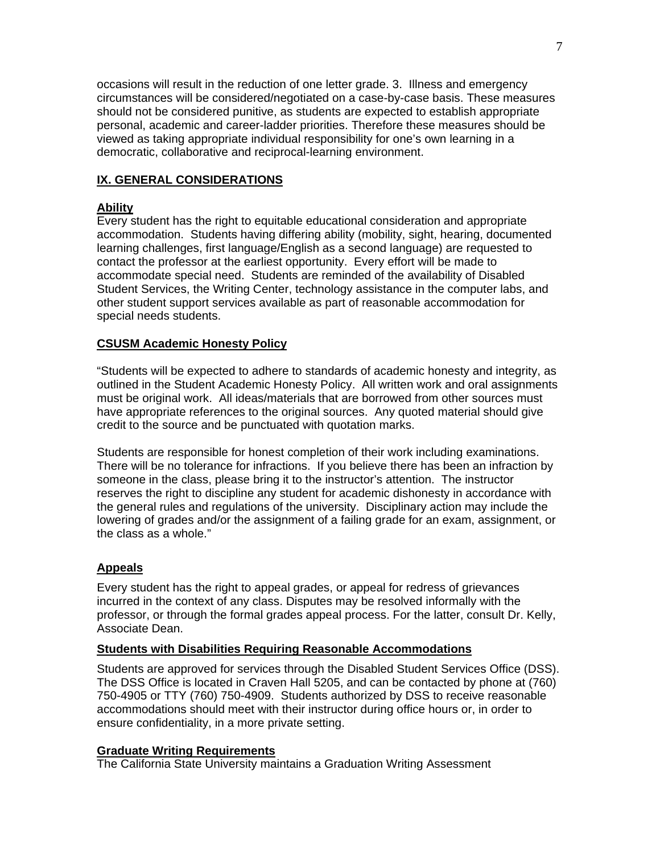occasions will result in the reduction of one letter grade. 3. Illness and emergency circumstances will be considered/negotiated on a case-by-case basis. These measures should not be considered punitive, as students are expected to establish appropriate personal, academic and career-ladder priorities. Therefore these measures should be viewed as taking appropriate individual responsibility for one's own learning in a democratic, collaborative and reciprocal-learning environment.

## **IX. GENERAL CONSIDERATIONS**

## **Ability**

Every student has the right to equitable educational consideration and appropriate accommodation. Students having differing ability (mobility, sight, hearing, documented learning challenges, first language/English as a second language) are requested to contact the professor at the earliest opportunity. Every effort will be made to accommodate special need. Students are reminded of the availability of Disabled Student Services, the Writing Center, technology assistance in the computer labs, and other student support services available as part of reasonable accommodation for special needs students.

### **CSUSM Academic Honesty Policy**

"Students will be expected to adhere to standards of academic honesty and integrity, as outlined in the Student Academic Honesty Policy. All written work and oral assignments must be original work. All ideas/materials that are borrowed from other sources must have appropriate references to the original sources. Any quoted material should give credit to the source and be punctuated with quotation marks.

Students are responsible for honest completion of their work including examinations. There will be no tolerance for infractions. If you believe there has been an infraction by someone in the class, please bring it to the instructor's attention. The instructor reserves the right to discipline any student for academic dishonesty in accordance with the general rules and regulations of the university. Disciplinary action may include the lowering of grades and/or the assignment of a failing grade for an exam, assignment, or the class as a whole."

### **Appeals**

Every student has the right to appeal grades, or appeal for redress of grievances incurred in the context of any class. Disputes may be resolved informally with the professor, or through the formal grades appeal process. For the latter, consult Dr. Kelly, Associate Dean.

### **Students with Disabilities Requiring Reasonable Accommodations**

Students are approved for services through the Disabled Student Services Office (DSS). The DSS Office is located in Craven Hall 5205, and can be contacted by phone at (760) 750-4905 or TTY (760) 750-4909. Students authorized by DSS to receive reasonable accommodations should meet with their instructor during office hours or, in order to ensure confidentiality, in a more private setting.

### **Graduate Writing Requirements**

The California State University maintains a Graduation Writing Assessment